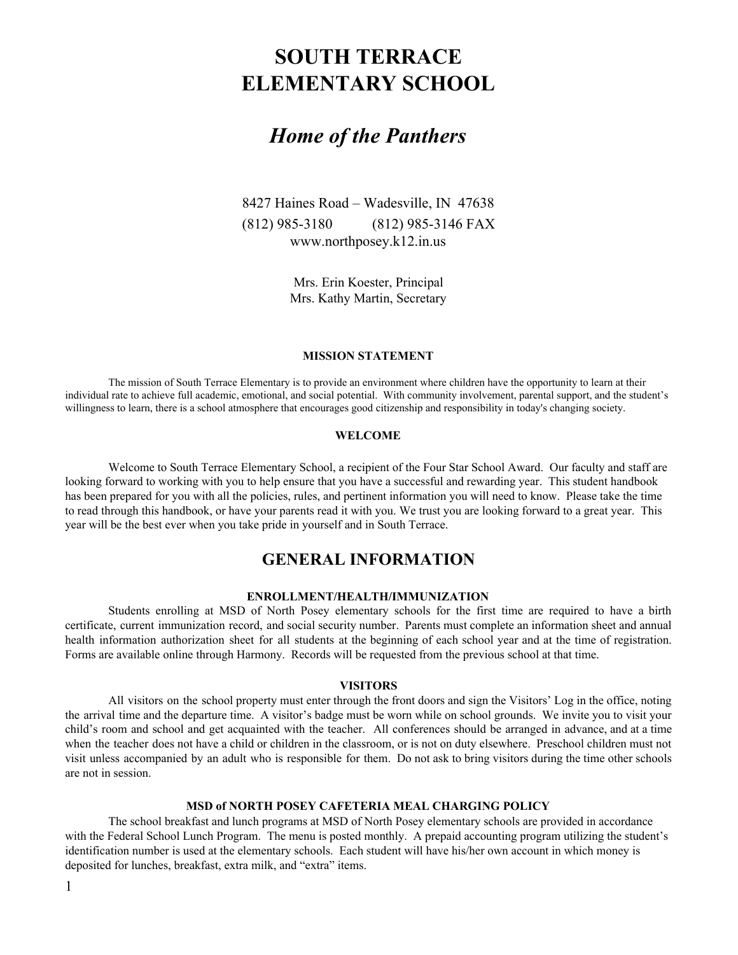# **SOUTH TERRACE ELEMENTARY SCHOOL**

# *Home of the Panthers*

8427 Haines Road – Wadesville, IN 47638 (812) 985-3180 (812) 985-3146 FAX www.northposey.k12.in.us

> Mrs. Erin Koester, Principal Mrs. Kathy Martin, Secretary

#### **MISSION STATEMENT**

The mission of South Terrace Elementary is to provide an environment where children have the opportunity to learn at their individual rate to achieve full academic, emotional, and social potential. With community involvement, parental support, and the student's willingness to learn, there is a school atmosphere that encourages good citizenship and responsibility in today's changing society.

#### **WELCOME**

Welcome to South Terrace Elementary School, a recipient of the Four Star School Award. Our faculty and staff are looking forward to working with you to help ensure that you have a successful and rewarding year. This student handbook has been prepared for you with all the policies, rules, and pertinent information you will need to know. Please take the time to read through this handbook, or have your parents read it with you. We trust you are looking forward to a great year. This year will be the best ever when you take pride in yourself and in South Terrace.

# **GENERAL INFORMATION**

# **ENROLLMENT/HEALTH/IMMUNIZATION**

Students enrolling at MSD of North Posey elementary schools for the first time are required to have a birth certificate, current immunization record, and social security number. Parents must complete an information sheet and annual health information authorization sheet for all students at the beginning of each school year and at the time of registration. Forms are available online through Harmony. Records will be requested from the previous school at that time.

#### **VISITORS**

All visitors on the school property must enter through the front doors and sign the Visitors' Log in the office, noting the arrival time and the departure time. A visitor's badge must be worn while on school grounds. We invite you to visit your child's room and school and get acquainted with the teacher. All conferences should be arranged in advance, and at a time when the teacher does not have a child or children in the classroom, or is not on duty elsewhere. Preschool children must not visit unless accompanied by an adult who is responsible for them. Do not ask to bring visitors during the time other schools are not in session.

# **MSD of NORTH POSEY CAFETERIA MEAL CHARGING POLICY**

The school breakfast and lunch programs at MSD of North Posey elementary schools are provided in accordance with the Federal School Lunch Program. The menu is posted monthly. A prepaid accounting program utilizing the student's identification number is used at the elementary schools. Each student will have his/her own account in which money is deposited for lunches, breakfast, extra milk, and "extra" items.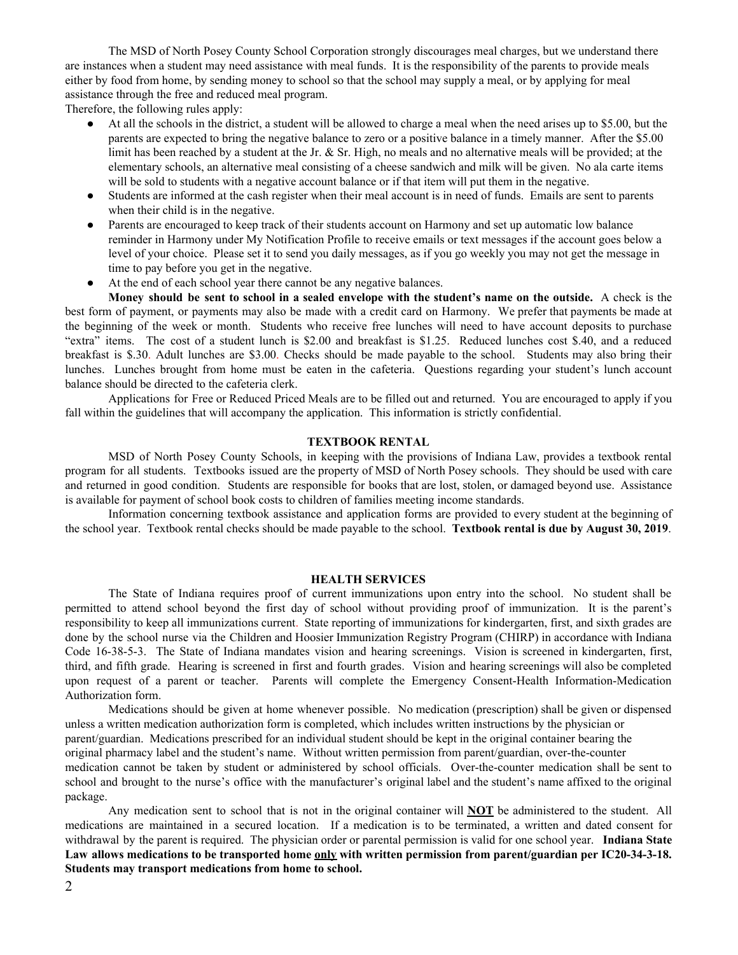The MSD of North Posey County School Corporation strongly discourages meal charges, but we understand there are instances when a student may need assistance with meal funds. It is the responsibility of the parents to provide meals either by food from home, by sending money to school so that the school may supply a meal, or by applying for meal assistance through the free and reduced meal program.

Therefore, the following rules apply:

- At all the schools in the district, a student will be allowed to charge a meal when the need arises up to \$5.00, but the parents are expected to bring the negative balance to zero or a positive balance in a timely manner. After the \$5.00 limit has been reached by a student at the Jr. & Sr. High, no meals and no alternative meals will be provided; at the elementary schools, an alternative meal consisting of a cheese sandwich and milk will be given. No ala carte items will be sold to students with a negative account balance or if that item will put them in the negative.
- Students are informed at the cash register when their meal account is in need of funds. Emails are sent to parents when their child is in the negative.
- Parents are encouraged to keep track of their students account on Harmony and set up automatic low balance reminder in Harmony under My Notification Profile to receive emails or text messages if the account goes below a level of your choice. Please set it to send you daily messages, as if you go weekly you may not get the message in time to pay before you get in the negative.
- At the end of each school year there cannot be any negative balances.

Money should be sent to school in a sealed envelope with the student's name on the outside. A check is the best form of payment, or payments may also be made with a credit card on Harmony. We prefer that payments be made at the beginning of the week or month. Students who receive free lunches will need to have account deposits to purchase "extra" items. The cost of a student lunch is \$2.00 and breakfast is \$1.25. Reduced lunches cost \$.40, and a reduced breakfast is \$.30. Adult lunches are \$3.00. Checks should be made payable to the school. Students may also bring their lunches. Lunches brought from home must be eaten in the cafeteria. Questions regarding your student's lunch account balance should be directed to the cafeteria clerk.

Applications for Free or Reduced Priced Meals are to be filled out and returned. You are encouraged to apply if you fall within the guidelines that will accompany the application. This information is strictly confidential.

#### **TEXTBOOK RENTAL**

MSD of North Posey County Schools, in keeping with the provisions of Indiana Law, provides a textbook rental program for all students. Textbooks issued are the property of MSD of North Posey schools. They should be used with care and returned in good condition. Students are responsible for books that are lost, stolen, or damaged beyond use. Assistance is available for payment of school book costs to children of families meeting income standards.

Information concerning textbook assistance and application forms are provided to every student at the beginning of the school year. Textbook rental checks should be made payable to the school. **Textbook rental is due by August 30, 2019**.

#### **HEALTH SERVICES**

The State of Indiana requires proof of current immunizations upon entry into the school. No student shall be permitted to attend school beyond the first day of school without providing proof of immunization. It is the parent's responsibility to keep all immunizations current. State reporting of immunizations for kindergarten, first, and sixth grades are done by the school nurse via the Children and Hoosier Immunization Registry Program (CHIRP) in accordance with Indiana Code 16-38-5-3. The State of Indiana mandates vision and hearing screenings. Vision is screened in kindergarten, first, third, and fifth grade. Hearing is screened in first and fourth grades. Vision and hearing screenings will also be completed upon request of a parent or teacher. Parents will complete the Emergency Consent-Health Information-Medication Authorization form.

Medications should be given at home whenever possible. No medication (prescription) shall be given or dispensed unless a written medication authorization form is completed, which includes written instructions by the physician or parent/guardian. Medications prescribed for an individual student should be kept in the original container bearing the original pharmacy label and the student's name. Without written permission from parent/guardian, over-the-counter medication cannot be taken by student or administered by school officials. Over-the-counter medication shall be sent to school and brought to the nurse's office with the manufacturer's original label and the student's name affixed to the original package.

Any medication sent to school that is not in the original container will **NOT** be administered to the student. All medications are maintained in a secured location. If a medication is to be terminated, a written and dated consent for withdrawal by the parent is required. The physician order or parental permission is valid for one school year. **Indiana State Law allows medications to be transported home only with written permission from parent/guardian per IC20-34-3-18. Students may transport medications from home to school.**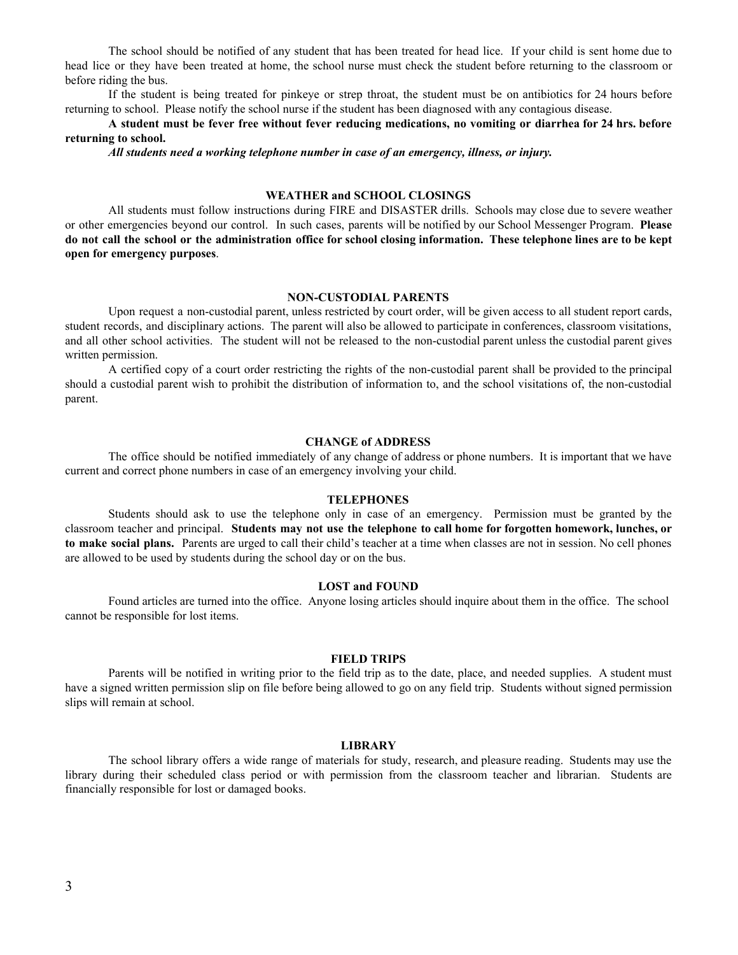The school should be notified of any student that has been treated for head lice. If your child is sent home due to head lice or they have been treated at home, the school nurse must check the student before returning to the classroom or before riding the bus.

If the student is being treated for pinkeye or strep throat, the student must be on antibiotics for 24 hours before returning to school. Please notify the school nurse if the student has been diagnosed with any contagious disease.

A student must be fever free without fever reducing medications, no vomiting or diarrhea for 24 hrs. before **returning to school.**

*All students need a working telephone number in case of an emergency, illness, or injury.*

# **WEATHER and SCHOOL CLOSINGS**

All students must follow instructions during FIRE and DISASTER drills. Schools may close due to severe weather or other emergencies beyond our control. In such cases, parents will be notified by our School Messenger Program. **Please** do not call the school or the administration office for school closing information. These telephone lines are to be kept **open for emergency purposes**.

#### **NON-CUSTODIAL PARENTS**

Upon request a non-custodial parent, unless restricted by court order, will be given access to all student report cards, student records, and disciplinary actions. The parent will also be allowed to participate in conferences, classroom visitations, and all other school activities. The student will not be released to the non-custodial parent unless the custodial parent gives written permission.

A certified copy of a court order restricting the rights of the non-custodial parent shall be provided to the principal should a custodial parent wish to prohibit the distribution of information to, and the school visitations of, the non-custodial parent.

#### **CHANGE of ADDRESS**

The office should be notified immediately of any change of address or phone numbers. It is important that we have current and correct phone numbers in case of an emergency involving your child.

#### **TELEPHONES**

Students should ask to use the telephone only in case of an emergency. Permission must be granted by the classroom teacher and principal. **Students may not use the telephone to call home for forgotten homework, lunches, or to make social plans.** Parents are urged to call their child's teacher at a time when classes are not in session. No cell phones are allowed to be used by students during the school day or on the bus.

#### **LOST and FOUND**

Found articles are turned into the office. Anyone losing articles should inquire about them in the office. The school cannot be responsible for lost items.

#### **FIELD TRIPS**

Parents will be notified in writing prior to the field trip as to the date, place, and needed supplies. A student must have a signed written permission slip on file before being allowed to go on any field trip. Students without signed permission slips will remain at school.

#### **LIBRARY**

The school library offers a wide range of materials for study, research, and pleasure reading. Students may use the library during their scheduled class period or with permission from the classroom teacher and librarian. Students are financially responsible for lost or damaged books.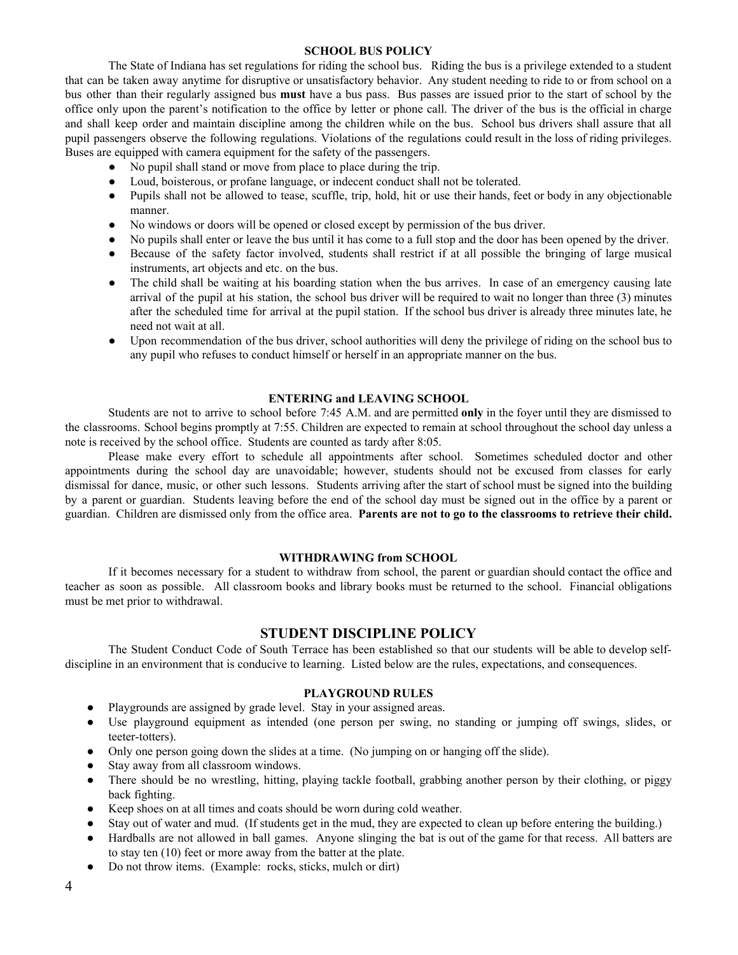#### **SCHOOL BUS POLICY**

The State of Indiana has set regulations for riding the school bus. Riding the bus is a privilege extended to a student that can be taken away anytime for disruptive or unsatisfactory behavior. Any student needing to ride to or from school on a bus other than their regularly assigned bus **must** have a bus pass. Bus passes are issued prior to the start of school by the office only upon the parent's notification to the office by letter or phone call. The driver of the bus is the official in charge and shall keep order and maintain discipline among the children while on the bus. School bus drivers shall assure that all pupil passengers observe the following regulations. Violations of the regulations could result in the loss of riding privileges. Buses are equipped with camera equipment for the safety of the passengers.

- No pupil shall stand or move from place to place during the trip.
- Loud, boisterous, or profane language, or indecent conduct shall not be tolerated.
- Pupils shall not be allowed to tease, scuffle, trip, hold, hit or use their hands, feet or body in any objectionable manner.
- No windows or doors will be opened or closed except by permission of the bus driver.
- No pupils shall enter or leave the bus until it has come to a full stop and the door has been opened by the driver.
- Because of the safety factor involved, students shall restrict if at all possible the bringing of large musical instruments, art objects and etc. on the bus.
- The child shall be waiting at his boarding station when the bus arrives. In case of an emergency causing late arrival of the pupil at his station, the school bus driver will be required to wait no longer than three (3) minutes after the scheduled time for arrival at the pupil station. If the school bus driver is already three minutes late, he need not wait at all.
- Upon recommendation of the bus driver, school authorities will deny the privilege of riding on the school bus to any pupil who refuses to conduct himself or herself in an appropriate manner on the bus.

# **ENTERING and LEAVING SCHOOL**

Students are not to arrive to school before 7:45 A.M. and are permitted **only** in the foyer until they are dismissed to the classrooms. School begins promptly at 7:55. Children are expected to remain at school throughout the school day unless a note is received by the school office. Students are counted as tardy after 8:05.

Please make every effort to schedule all appointments after school. Sometimes scheduled doctor and other appointments during the school day are unavoidable; however, students should not be excused from classes for early dismissal for dance, music, or other such lessons. Students arriving after the start of school must be signed into the building by a parent or guardian. Students leaving before the end of the school day must be signed out in the office by a parent or guardian. Children are dismissed only from the office area. **Parents are not to go to the classrooms to retrieve their child.**

#### **WITHDRAWING from SCHOOL**

If it becomes necessary for a student to withdraw from school, the parent or guardian should contact the office and teacher as soon as possible. All classroom books and library books must be returned to the school. Financial obligations must be met prior to withdrawal.

# **STUDENT DISCIPLINE POLICY**

The Student Conduct Code of South Terrace has been established so that our students will be able to develop selfdiscipline in an environment that is conducive to learning. Listed below are the rules, expectations, and consequences.

#### **PLAYGROUND RULES**

- Playgrounds are assigned by grade level. Stay in your assigned areas.
- Use playground equipment as intended (one person per swing, no standing or jumping off swings, slides, or teeter-totters).
- Only one person going down the slides at a time. (No jumping on or hanging off the slide).
- Stay away from all classroom windows.
- There should be no wrestling, hitting, playing tackle football, grabbing another person by their clothing, or piggy back fighting.
- Keep shoes on at all times and coats should be worn during cold weather.
- Stay out of water and mud. (If students get in the mud, they are expected to clean up before entering the building.)
- Hardballs are not allowed in ball games. Anyone slinging the bat is out of the game for that recess. All batters are to stay ten (10) feet or more away from the batter at the plate.
- Do not throw items. (Example: rocks, sticks, mulch or dirt)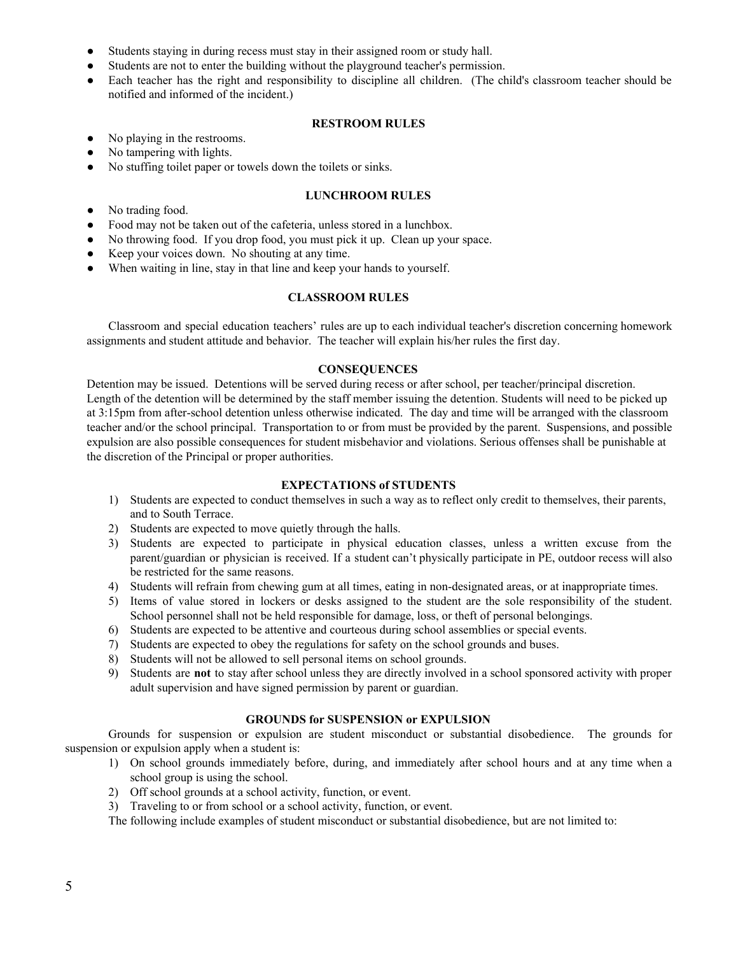- Students staying in during recess must stay in their assigned room or study hall.
- Students are not to enter the building without the playground teacher's permission.
- Each teacher has the right and responsibility to discipline all children. (The child's classroom teacher should be notified and informed of the incident.)

### **RESTROOM RULES**

- No playing in the restrooms.
- No tampering with lights.
- No stuffing toilet paper or towels down the toilets or sinks.

# **LUNCHROOM RULES**

- No trading food.
- Food may not be taken out of the cafeteria, unless stored in a lunchbox.
- No throwing food. If you drop food, you must pick it up. Clean up your space.
- Keep your voices down. No shouting at any time.
- When waiting in line, stay in that line and keep your hands to yourself.

# **CLASSROOM RULES**

Classroom and special education teachers' rules are up to each individual teacher's discretion concerning homework assignments and student attitude and behavior. The teacher will explain his/her rules the first day.

# **CONSEQUENCES**

Detention may be issued. Detentions will be served during recess or after school, per teacher/principal discretion. Length of the detention will be determined by the staff member issuing the detention. Students will need to be picked up at 3:15pm from after-school detention unless otherwise indicated. The day and time will be arranged with the classroom teacher and/or the school principal. Transportation to or from must be provided by the parent. Suspensions, and possible expulsion are also possible consequences for student misbehavior and violations. Serious offenses shall be punishable at the discretion of the Principal or proper authorities.

# **EXPECTATIONS of STUDENTS**

- 1) Students are expected to conduct themselves in such a way as to reflect only credit to themselves, their parents, and to South Terrace.
- 2) Students are expected to move quietly through the halls.
- 3) Students are expected to participate in physical education classes, unless a written excuse from the parent/guardian or physician is received. If a student can't physically participate in PE, outdoor recess will also be restricted for the same reasons.
- 4) Students will refrain from chewing gum at all times, eating in non-designated areas, or at inappropriate times.
- 5) Items of value stored in lockers or desks assigned to the student are the sole responsibility of the student. School personnel shall not be held responsible for damage, loss, or theft of personal belongings.
- 6) Students are expected to be attentive and courteous during school assemblies or special events.
- 7) Students are expected to obey the regulations for safety on the school grounds and buses.
- 8) Students will not be allowed to sell personal items on school grounds.
- 9) Students are **not** to stay after school unless they are directly involved in a school sponsored activity with proper adult supervision and have signed permission by parent or guardian.

# **GROUNDS for SUSPENSION or EXPULSION**

Grounds for suspension or expulsion are student misconduct or substantial disobedience. The grounds for suspension or expulsion apply when a student is:

- 1) On school grounds immediately before, during, and immediately after school hours and at any time when a school group is using the school.
- 2) Off school grounds at a school activity, function, or event.
- 3) Traveling to or from school or a school activity, function, or event.

The following include examples of student misconduct or substantial disobedience, but are not limited to: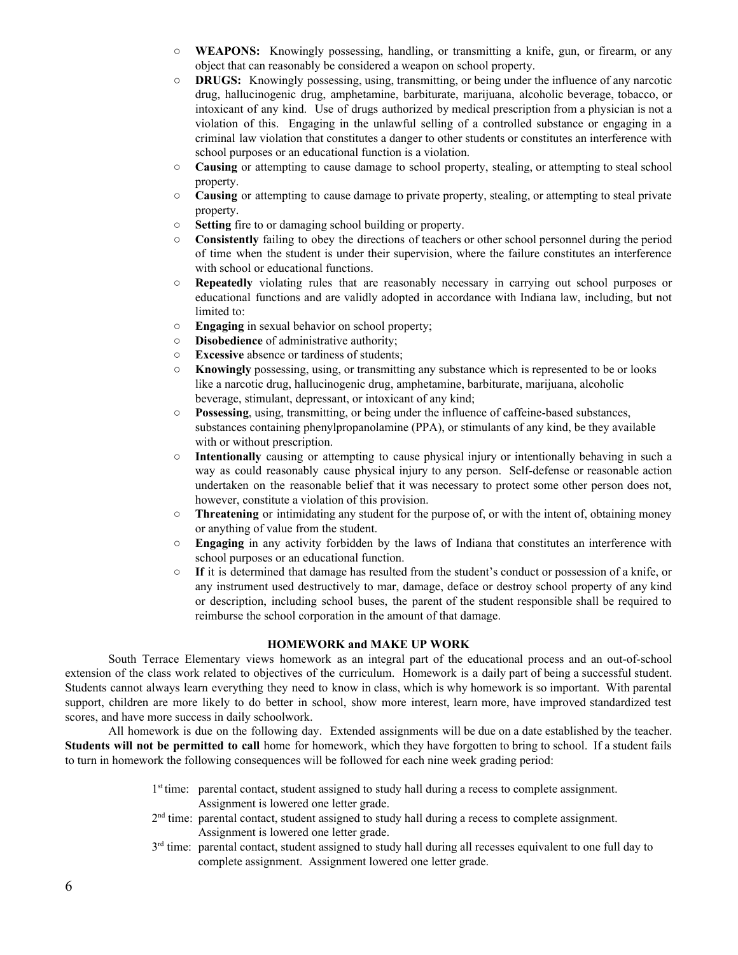- **WEAPONS:** Knowingly possessing, handling, or transmitting a knife, gun, or firearm, or any object that can reasonably be considered a weapon on school property.
- **DRUGS:** Knowingly possessing, using, transmitting, or being under the influence of any narcotic drug, hallucinogenic drug, amphetamine, barbiturate, marijuana, alcoholic beverage, tobacco, or intoxicant of any kind. Use of drugs authorized by medical prescription from a physician is not a violation of this. Engaging in the unlawful selling of a controlled substance or engaging in a criminal law violation that constitutes a danger to other students or constitutes an interference with school purposes or an educational function is a violation.
- **Causing** or attempting to cause damage to school property, stealing, or attempting to steal school property.
- **Causing** or attempting to cause damage to private property, stealing, or attempting to steal private property.
- **Setting** fire to or damaging school building or property.
- **Consistently** failing to obey the directions of teachers or other school personnel during the period of time when the student is under their supervision, where the failure constitutes an interference with school or educational functions.
- **Repeatedly** violating rules that are reasonably necessary in carrying out school purposes or educational functions and are validly adopted in accordance with Indiana law, including, but not limited to:
- **Engaging** in sexual behavior on school property;
- **Disobedience** of administrative authority;
- **Excessive** absence or tardiness of students;
- **Knowingly** possessing, using, or transmitting any substance which is represented to be or looks like a narcotic drug, hallucinogenic drug, amphetamine, barbiturate, marijuana, alcoholic beverage, stimulant, depressant, or intoxicant of any kind;
- **Possessing**, using, transmitting, or being under the influence of caffeine-based substances, substances containing phenylpropanolamine (PPA), or stimulants of any kind, be they available with or without prescription.
- **Intentionally** causing or attempting to cause physical injury or intentionally behaving in such a way as could reasonably cause physical injury to any person. Self-defense or reasonable action undertaken on the reasonable belief that it was necessary to protect some other person does not, however, constitute a violation of this provision.
- **Threatening** or intimidating any student for the purpose of, or with the intent of, obtaining money or anything of value from the student.
- **Engaging** in any activity forbidden by the laws of Indiana that constitutes an interference with school purposes or an educational function.
- **If** it is determined that damage has resulted from the student's conduct or possession of a knife, or any instrument used destructively to mar, damage, deface or destroy school property of any kind or description, including school buses, the parent of the student responsible shall be required to reimburse the school corporation in the amount of that damage.

## **HOMEWORK and MAKE UP WORK**

South Terrace Elementary views homework as an integral part of the educational process and an out-of-school extension of the class work related to objectives of the curriculum. Homework is a daily part of being a successful student. Students cannot always learn everything they need to know in class, which is why homework is so important. With parental support, children are more likely to do better in school, show more interest, learn more, have improved standardized test scores, and have more success in daily schoolwork.

All homework is due on the following day. Extended assignments will be due on a date established by the teacher. **Students will not be permitted to call** home for homework, which they have forgotten to bring to school. If a student fails to turn in homework the following consequences will be followed for each nine week grading period:

- 1<sup>st</sup> time: parental contact, student assigned to study hall during a recess to complete assignment. Assignment is lowered one letter grade.
- $2<sup>nd</sup>$  time: parental contact, student assigned to study hall during a recess to complete assignment. Assignment is lowered one letter grade.
- $3<sup>rd</sup>$  time: parental contact, student assigned to study hall during all recesses equivalent to one full day to complete assignment. Assignment lowered one letter grade.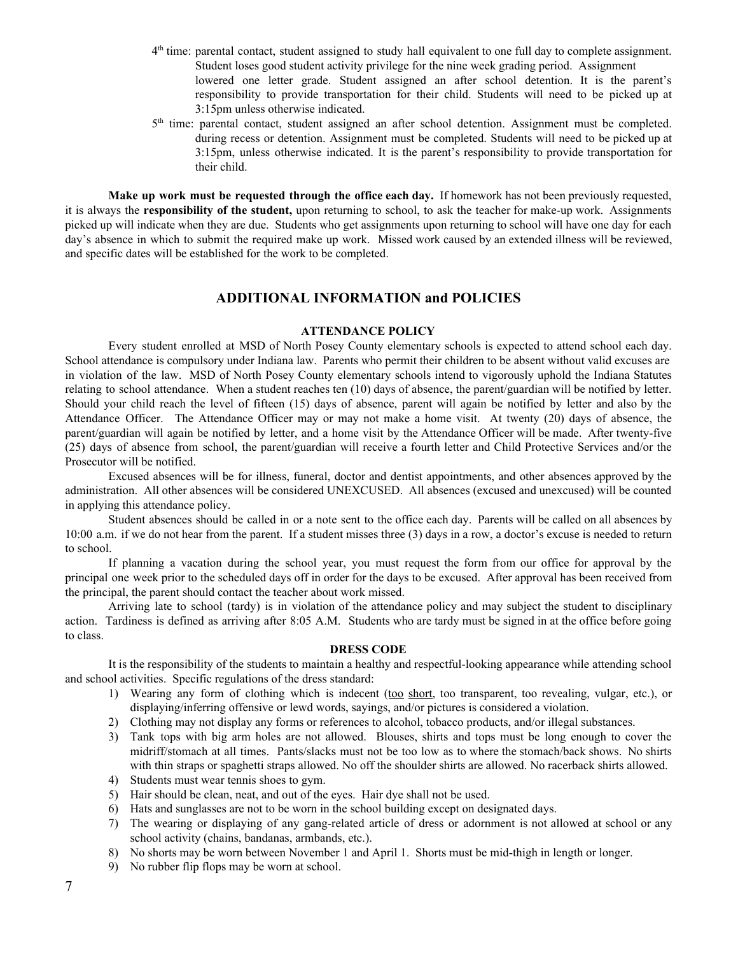- 4<sup>th</sup> time: parental contact, student assigned to study hall equivalent to one full day to complete assignment. Student loses good student activity privilege for the nine week grading period. Assignment lowered one letter grade. Student assigned an after school detention. It is the parent's responsibility to provide transportation for their child. Students will need to be picked up at 3:15pm unless otherwise indicated.
- 5<sup>th</sup> time: parental contact, student assigned an after school detention. Assignment must be completed. during recess or detention. Assignment must be completed. Students will need to be picked up at 3:15pm, unless otherwise indicated. It is the parent's responsibility to provide transportation for their child.

**Make up work must be requested through the office each day.** If homework has not been previously requested, it is always the **responsibility of the student,** upon returning to school, to ask the teacher for make-up work. Assignments picked up will indicate when they are due. Students who get assignments upon returning to school will have one day for each day's absence in which to submit the required make up work. Missed work caused by an extended illness will be reviewed, and specific dates will be established for the work to be completed.

# **ADDITIONAL INFORMATION and POLICIES**

# **ATTENDANCE POLICY**

Every student enrolled at MSD of North Posey County elementary schools is expected to attend school each day. School attendance is compulsory under Indiana law. Parents who permit their children to be absent without valid excuses are in violation of the law. MSD of North Posey County elementary schools intend to vigorously uphold the Indiana Statutes relating to school attendance. When a student reaches ten (10) days of absence, the parent/guardian will be notified by letter. Should your child reach the level of fifteen (15) days of absence, parent will again be notified by letter and also by the Attendance Officer. The Attendance Officer may or may not make a home visit. At twenty (20) days of absence, the parent/guardian will again be notified by letter, and a home visit by the Attendance Officer will be made. After twenty-five (25) days of absence from school, the parent/guardian will receive a fourth letter and Child Protective Services and/or the Prosecutor will be notified.

Excused absences will be for illness, funeral, doctor and dentist appointments, and other absences approved by the administration. All other absences will be considered UNEXCUSED. All absences (excused and unexcused) will be counted in applying this attendance policy.

Student absences should be called in or a note sent to the office each day. Parents will be called on all absences by 10:00 a.m. if we do not hear from the parent. If a student misses three (3) days in a row, a doctor's excuse is needed to return to school.

If planning a vacation during the school year, you must request the form from our office for approval by the principal one week prior to the scheduled days off in order for the days to be excused. After approval has been received from the principal, the parent should contact the teacher about work missed.

Arriving late to school (tardy) is in violation of the attendance policy and may subject the student to disciplinary action. Tardiness is defined as arriving after 8:05 A.M. Students who are tardy must be signed in at the office before going to class.

#### **DRESS CODE**

It is the responsibility of the students to maintain a healthy and respectful-looking appearance while attending school and school activities. Specific regulations of the dress standard:

- 1) Wearing any form of clothing which is indecent (too short, too transparent, too revealing, vulgar, etc.), or displaying/inferring offensive or lewd words, sayings, and/or pictures is considered a violation.
- 2) Clothing may not display any forms or references to alcohol, tobacco products, and/or illegal substances.
- 3) Tank tops with big arm holes are not allowed. Blouses, shirts and tops must be long enough to cover the midriff/stomach at all times. Pants/slacks must not be too low as to where the stomach/back shows. No shirts with thin straps or spaghetti straps allowed. No off the shoulder shirts are allowed. No racerback shirts allowed.
- 4) Students must wear tennis shoes to gym.
- 5) Hair should be clean, neat, and out of the eyes. Hair dye shall not be used.
- 6) Hats and sunglasses are not to be worn in the school building except on designated days.
- 7) The wearing or displaying of any gang-related article of dress or adornment is not allowed at school or any school activity (chains, bandanas, armbands, etc.).
- 8) No shorts may be worn between November 1 and April 1. Shorts must be mid-thigh in length or longer.
- 9) No rubber flip flops may be worn at school.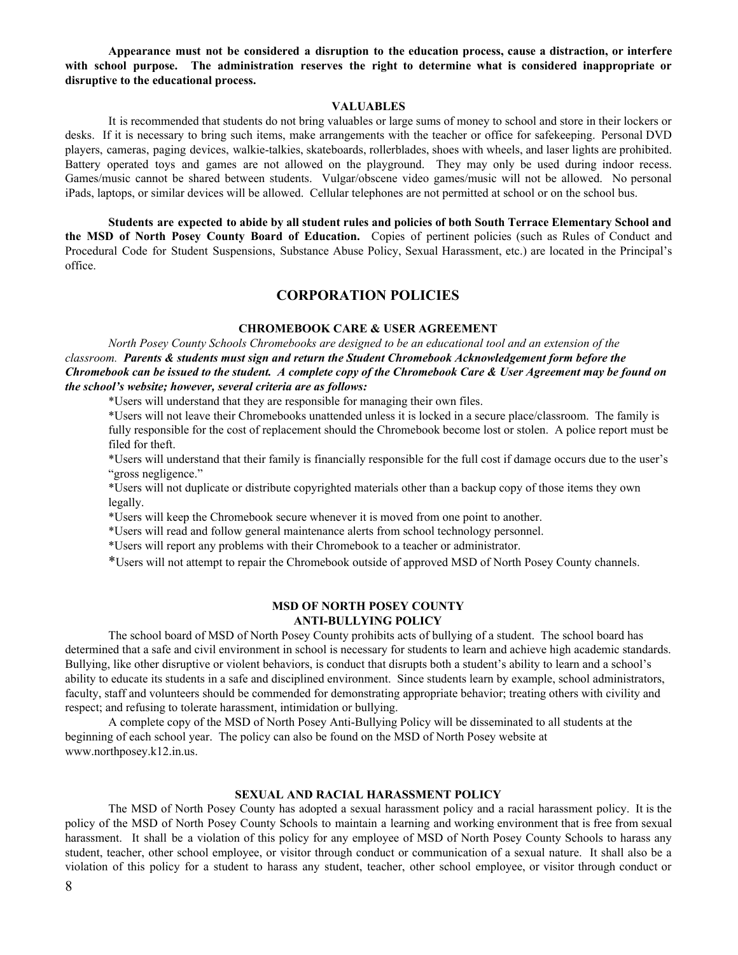**Appearance must not be considered a disruption to the education process, cause a distraction, or interfere with school purpose. The administration reserves the right to determine what is considered inappropriate or disruptive to the educational process.**

# **VALUABLES**

It is recommended that students do not bring valuables or large sums of money to school and store in their lockers or desks. If it is necessary to bring such items, make arrangements with the teacher or office for safekeeping. Personal DVD players, cameras, paging devices, walkie-talkies, skateboards, rollerblades, shoes with wheels, and laser lights are prohibited. Battery operated toys and games are not allowed on the playground. They may only be used during indoor recess. Games/music cannot be shared between students. Vulgar/obscene video games/music will not be allowed. No personal iPads, laptops, or similar devices will be allowed. Cellular telephones are not permitted at school or on the school bus.

Students are expected to abide by all student rules and policies of both South Terrace Elementary School and **the MSD of North Posey County Board of Education.** Copies of pertinent policies (such as Rules of Conduct and Procedural Code for Student Suspensions, Substance Abuse Policy, Sexual Harassment, etc.) are located in the Principal's office.

# **CORPORATION POLICIES**

# **CHROMEBOOK CARE & USER AGREEMENT**

*North Posey County Schools Chromebooks are designed to be an educational tool and an extension of the classroom. Parents & students must sign and return the Student Chromebook Acknowledgement form before the* Chromebook can be issued to the student. A complete copy of the Chromebook Care & User Agreement may be found on *the school's website; however, several criteria are as follows:*

\*Users will understand that they are responsible for managing their own files.

\*Users will not leave their Chromebooks unattended unless it is locked in a secure place/classroom. The family is fully responsible for the cost of replacement should the Chromebook become lost or stolen. A police report must be filed for theft.

\*Users will understand that their family is financially responsible for the full cost if damage occurs due to the user's "gross negligence."

\*Users will not duplicate or distribute copyrighted materials other than a backup copy of those items they own legally.

\*Users will keep the Chromebook secure whenever it is moved from one point to another.

\*Users will read and follow general maintenance alerts from school technology personnel.

\*Users will report any problems with their Chromebook to a teacher or administrator.

\*Users will not attempt to repair the Chromebook outside of approved MSD of North Posey County channels.

# **MSD OF NORTH POSEY COUNTY ANTI-BULLYING POLICY**

The school board of MSD of North Posey County prohibits acts of bullying of a student. The school board has determined that a safe and civil environment in school is necessary for students to learn and achieve high academic standards. Bullying, like other disruptive or violent behaviors, is conduct that disrupts both a student's ability to learn and a school's ability to educate its students in a safe and disciplined environment. Since students learn by example, school administrators, faculty, staff and volunteers should be commended for demonstrating appropriate behavior; treating others with civility and respect; and refusing to tolerate harassment, intimidation or bullying.

A complete copy of the MSD of North Posey Anti-Bullying Policy will be disseminated to all students at the beginning of each school year. The policy can also be found on the MSD of North Posey website at www.northposey.k12.in.us.

# **SEXUAL AND RACIAL HARASSMENT POLICY**

The MSD of North Posey County has adopted a sexual harassment policy and a racial harassment policy. It is the policy of the MSD of North Posey County Schools to maintain a learning and working environment that is free from sexual harassment. It shall be a violation of this policy for any employee of MSD of North Posey County Schools to harass any student, teacher, other school employee, or visitor through conduct or communication of a sexual nature. It shall also be a violation of this policy for a student to harass any student, teacher, other school employee, or visitor through conduct or